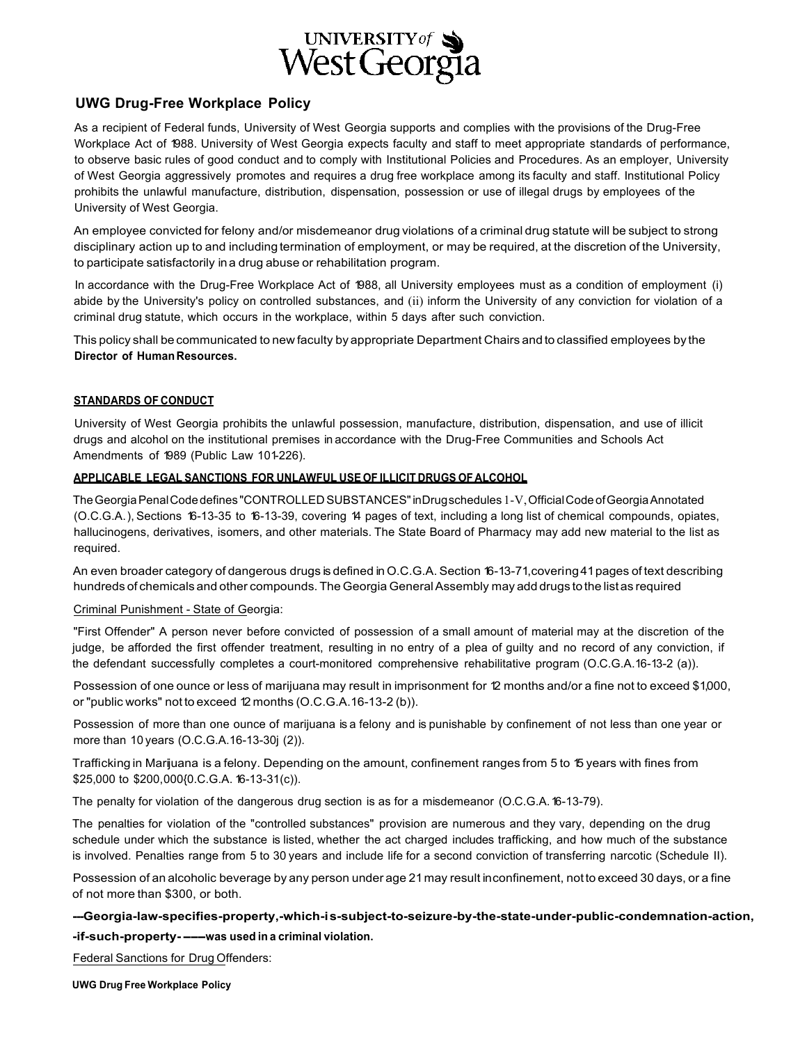

# **UWG Drug-Free Workplace Policy**

As a recipient of Federal funds, University of West Georgia supports and complies with the provisions of the Drug-Free Workplace Act of 1988. University of West Georgia expects faculty and staff to meet appropriate standards of performance, to observe basic rules of good conduct and to comply with Institutional Policies and Procedures. As an employer, University of West Georgia aggressively promotes and requires a drug free workplace among its faculty and staff. Institutional Policy prohibits the unlawful manufacture, distribution, dispensation, possession or use of illegal drugs by employees of the University of West Georgia.

An employee convicted for felony and/or misdemeanor drug violations of a criminal drug statute will be subject to strong disciplinary action up to and including termination of employment, or may be required, at the discretion of the University, to participate satisfactorily ina drug abuse or rehabilitation program.

In accordance with the Drug-Free Workplace Act of 1988, all University employees must as a condition of employment (i) abide by the University's policy on controlled substances, and (ii) inform the University of any conviction for violation of a criminal drug statute, which occurs in the workplace, within 5 days after such conviction.

This policy shall be communicated to new faculty by appropriate Department Chairs and to classified employees by the **Director of HumanResources.**

# **STANDARDS OF CONDUCT**

University of West Georgia prohibits the unlawful possession, manufacture, distribution, dispensation, and use of illicit drugs and alcohol on the institutional premises in accordance with the Drug-Free Communities and Schools Act Amendments of 1989 (Public Law 101-226).

## **APPLICABLE LEGAL SANCTIONS FOR UNLAWFUL USE OF ILLICIT DRUGS OF ALCOHOL**

The Georgia Penal Code defines "CONTROLLED SUBSTANCES" inDrugschedules 1-V, Official Code of Georgia Annotated (O.C.G.A.), Sections 16-13-35 to 16-13-39, covering 14 pages of text, including a long list of chemical compounds, opiates, hallucinogens, derivatives, isomers, and other materials. The State Board of Pharmacy may add new material to the list as required.

An even broader category of dangerous drugs is defined in O.C.G.A. Section 16-13-71,covering41pages of text describing hundreds of chemicals and other compounds. The Georgia General Assembly may add drugs to the list as required

## Criminal Punishment - State of Georgia:

"First Offender" A person never before convicted of possession of a small amount of material may at the discretion of the judge, be afforded the first offender treatment, resulting in no entry of a plea of guilty and no record of any conviction, if the defendant successfully completes a court-monitored comprehensive rehabilitative program (O.C.G.A.16-13-2 (a)).

Possession of one ounce or less of marijuana may result in imprisonment for 12 months and/or a fine not to exceed \$1,000, or "public works" not to exceed 12 months (O.C.G.A.16-13-2 (b)).

Possession of more than one ounce of marijuana is a felony and is punishable by confinement of not less than one year or more than 10 years (O.C.G.A.16-13-30j (2)).

Trafficking in Marijuana is a felony. Depending on the amount, confinement ranges from 5 to 15 years with fines from \$25,000 to \$200,000{0.C.G.A. 16-13-31(c)).

The penalty for violation of the dangerous drug section is as for a misdemeanor (O.C.G.A.16-13-79).

The penalties for violation of the "controlled substances" provision are numerous and they vary, depending on the drug schedule under which the substance is listed, whether the act charged includes trafficking, and how much of the substance is involved. Penalties range from 5 to 30 years and include life for a second conviction of transferring narcotic (Schedule II).

Possession of an alcoholic beverage by any person under age 21may result inconfinement, notto exceed 30 days, or a fine of not more than \$300, or both.

**---Georgia-law-specifies-property,-which-is-subject-to-seizure-by-the-state-under-public-condemnation-action, -if-such-property----was used in <sup>a</sup> criminal violation.**

Federal Sanctions for Drug Offenders:

**UWG Drug Free Workplace Policy**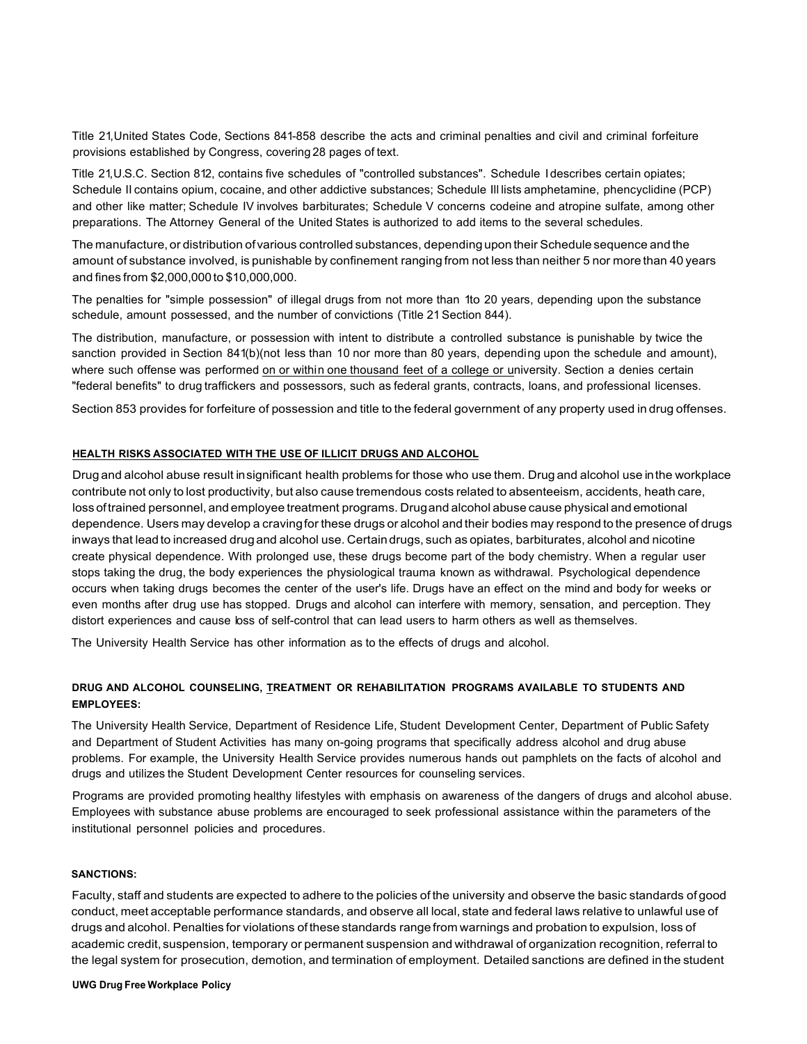Title 21,United States Code, Sections 841-858 describe the acts and criminal penalties and civil and criminal forfeiture provisions established by Congress, covering 28 pages of text.

Title 21,U.S.C. Section 812, contains five schedules of "controlled substances". Schedule I describes certain opiates; Schedule II contains opium, cocaine, and other addictive substances; Schedule Ill lists amphetamine, phencyclidine (PCP) and other like matter; Schedule IV involves barbiturates; Schedule V concerns codeine and atropine sulfate, among other preparations. The Attorney General of the United States is authorized to add items to the several schedules.

The manufacture, or distribution ofvarious controlled substances, dependingupon their Schedule sequence and the amount of substance involved, is punishable by confinement ranging from not less than neither 5 nor more than 40 years and fines from \$2,000,000to \$10,000,000.

The penalties for "simple possession" of illegal drugs from not more than 1to 20 years, depending upon the substance schedule, amount possessed, and the number of convictions (Title 21 Section 844).

The distribution, manufacture, or possession with intent to distribute a controlled substance is punishable by twice the sanction provided in Section 841(b)(not less than 10 nor more than 80 years, depending upon the schedule and amount), where such offense was performed on or within one thousand feet of a college or university. Section a denies certain "federal benefits" to drug traffickers and possessors, such as federal grants, contracts, loans, and professional licenses.

Section 853 provides for forfeiture of possession and title to the federal government of any property used in drug offenses.

#### **HEALTH RISKS ASSOCIATED WITH THE USE OF ILLICIT DRUGS AND ALCOHOL**

Drug and alcohol abuse result insignificant health problems for those who use them. Drug and alcohol use inthe workplace contribute not only to lost productivity, but also cause tremendous costs related to absenteeism, accidents, heath care, loss oftrained personnel, and employee treatment programs. Drugand alcohol abuse cause physical and emotional dependence. Users may develop a cravingfor these drugs or alcohol and their bodies may respond to the presence of drugs inways that leadto increased drugand alcohol use. Certain drugs, such as opiates, barbiturates, alcohol and nicotine create physical dependence. With prolonged use, these drugs become part of the body chemistry. When a regular user stops taking the drug, the body experiences the physiological trauma known as withdrawal. Psychological dependence occurs when taking drugs becomes the center of the user's life. Drugs have an effect on the mind and body for weeks or even months after drug use has stopped. Drugs and alcohol can interfere with memory, sensation, and perception. They distort experiences and cause loss of self-control that can lead users to harm others as well as themselves.

The University Health Service has other information as to the effects of drugs and alcohol.

# **DRUG AND ALCOHOL COUNSELING, TREATMENT OR REHABILITATION PROGRAMS AVAILABLE TO STUDENTS AND EMPLOYEES:**

The University Health Service, Department of Residence Life, Student Development Center, Department of Public Safety and Department of Student Activities has many on-going programs that specifically address alcohol and drug abuse problems. For example, the University Health Service provides numerous hands out pamphlets on the facts of alcohol and drugs and utilizes the Student Development Center resources for counseling services.

Programs are provided promoting healthy lifestyles with emphasis on awareness of the dangers of drugs and alcohol abuse. Employees with substance abuse problems are encouraged to seek professional assistance within the parameters of the institutional personnel policies and procedures.

#### **SANCTIONS:**

Faculty, staff and students are expected to adhere to the policies of the university and observe the basic standards of good conduct, meet acceptable performance standards, and observe all local, state and federal laws relative to unlawful use of drugs and alcohol. Penalties for violations ofthese standards rangefrom warnings and probation to expulsion, loss of academic credit, suspension, temporary or permanent suspension and withdrawal of organization recognition, referral to the legal system for prosecution, demotion, and termination of employment. Detailed sanctions are defined in the student